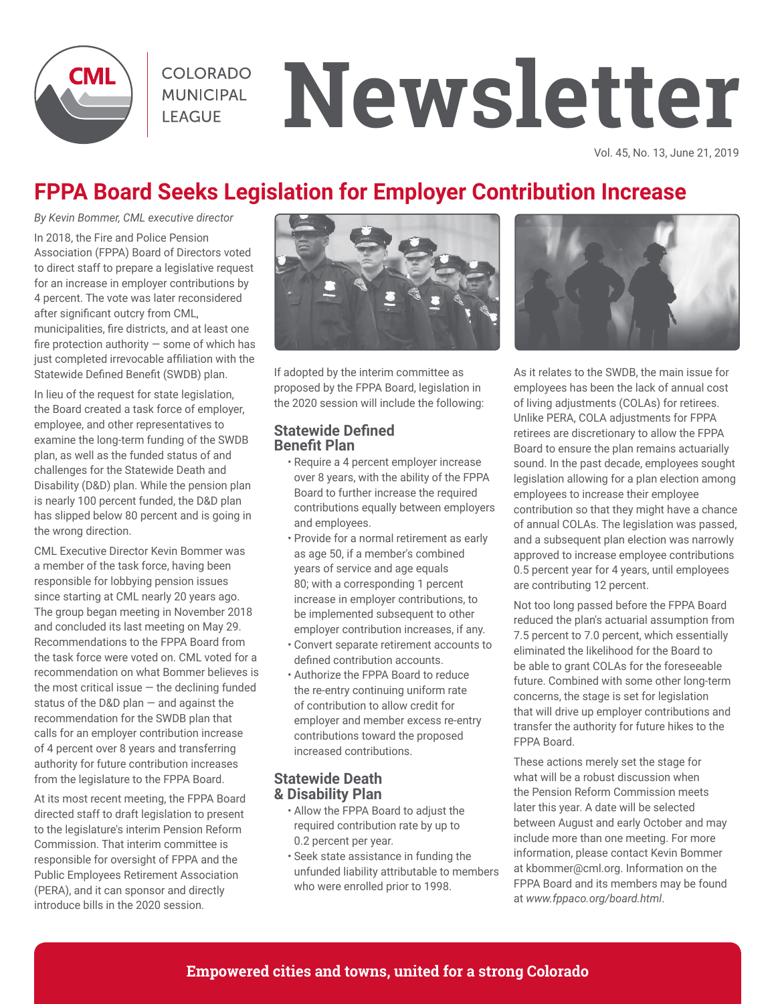

**COLORADO MUNICIPAL LEAGUE** 

# **Newsletter**

Vol. 45, No. 13, June 21, 2019

# **FPPA Board Seeks Legislation for Employer Contribution Increase**

*By Kevin Bommer, CML executive director*

In 2018, the Fire and Police Pension Association (FPPA) Board of Directors voted to direct staff to prepare a legislative request for an increase in employer contributions by 4 percent. The vote was later reconsidered after significant outcry from CML, municipalities, fire districts, and at least one fire protection authority — some of which has just completed irrevocable affiliation with the Statewide Defined Benefit (SWDB) plan.

In lieu of the request for state legislation, the Board created a task force of employer, employee, and other representatives to examine the long-term funding of the SWDB plan, as well as the funded status of and challenges for the Statewide Death and Disability (D&D) plan. While the pension plan is nearly 100 percent funded, the D&D plan has slipped below 80 percent and is going in the wrong direction.

CML Executive Director Kevin Bommer was a member of the task force, having been responsible for lobbying pension issues since starting at CML nearly 20 years ago. The group began meeting in November 2018 and concluded its last meeting on May 29. Recommendations to the FPPA Board from the task force were voted on. CML voted for a recommendation on what Bommer believes is the most critical issue  $-$  the declining funded status of the D&D plan — and against the recommendation for the SWDB plan that calls for an employer contribution increase of 4 percent over 8 years and transferring authority for future contribution increases from the legislature to the FPPA Board.

At its most recent meeting, the FPPA Board directed staff to draft legislation to present to the legislature's interim Pension Reform Commission. That interim committee is responsible for oversight of FPPA and the Public Employees Retirement Association (PERA), and it can sponsor and directly introduce bills in the 2020 session.



If adopted by the interim committee as proposed by the FPPA Board, legislation in the 2020 session will include the following:

#### **Statewide Defined Benefit Plan**

- Require a 4 percent employer increase over 8 years, with the ability of the FPPA Board to further increase the required contributions equally between employers and employees.
- Provide for a normal retirement as early as age 50, if a member's combined years of service and age equals 80; with a corresponding 1 percent increase in employer contributions, to be implemented subsequent to other employer contribution increases, if any.
- Convert separate retirement accounts to defined contribution accounts.
- Authorize the FPPA Board to reduce the re-entry continuing uniform rate of contribution to allow credit for employer and member excess re-entry contributions toward the proposed increased contributions.

#### **Statewide Death & Disability Plan**

- Allow the FPPA Board to adjust the required contribution rate by up to 0.2 percent per year.
- Seek state assistance in funding the unfunded liability attributable to members who were enrolled prior to 1998.



As it relates to the SWDB, the main issue for employees has been the lack of annual cost of living adjustments (COLAs) for retirees. Unlike PERA, COLA adjustments for FPPA retirees are discretionary to allow the FPPA Board to ensure the plan remains actuarially sound. In the past decade, employees sought legislation allowing for a plan election among employees to increase their employee contribution so that they might have a chance of annual COLAs. The legislation was passed, and a subsequent plan election was narrowly approved to increase employee contributions 0.5 percent year for 4 years, until employees are contributing 12 percent.

Not too long passed before the FPPA Board reduced the plan's actuarial assumption from 7.5 percent to 7.0 percent, which essentially eliminated the likelihood for the Board to be able to grant COLAs for the foreseeable future. Combined with some other long-term concerns, the stage is set for legislation that will drive up employer contributions and transfer the authority for future hikes to the FPPA Board.

These actions merely set the stage for what will be a robust discussion when the Pension Reform Commission meets later this year. A date will be selected between August and early October and may include more than one meeting. For more information, please contact Kevin Bommer at kbommer@cml.org. Information on the FPPA Board and its members may be found at *www.fppaco.org/board.html*.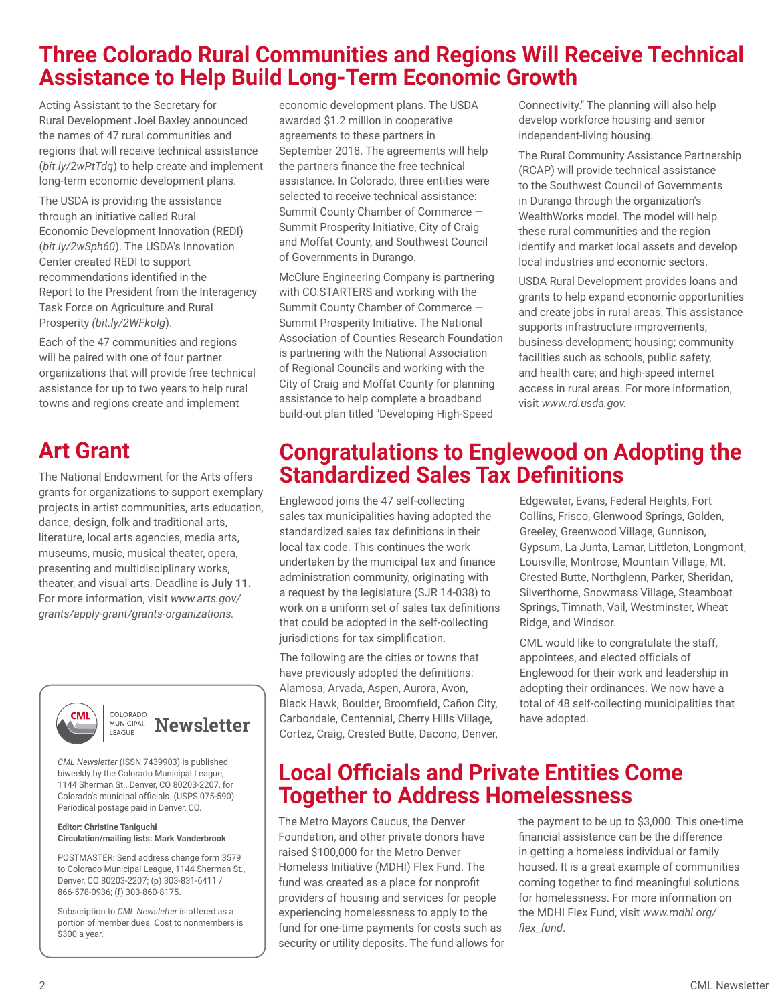### **Three Colorado Rural Communities and Regions Will Receive Technical Assistance to Help Build Long-Term Economic Growth**

Acting Assistant to the Secretary for Rural Development Joel Baxley announced the names of 47 rural communities and regions that will receive technical assistance (*bit.ly/2wPtTdq*) to help create and implement long-term economic development plans.

The USDA is providing the assistance through an initiative called Rural Economic Development Innovation (REDI) (*bit.ly/2wSph60*). The USDA's Innovation Center created REDI to support recommendations identified in the Report to the President from the Interagency Task Force on Agriculture and Rural Prosperity *(bit.ly/2WFkoIg*).

Each of the 47 communities and regions will be paired with one of four partner organizations that will provide free technical assistance for up to two years to help rural towns and regions create and implement

# **Art Grant**

The National Endowment for the Arts offers grants for organizations to support exemplary projects in artist communities, arts education, dance, design, folk and traditional arts, literature, local arts agencies, media arts, museums, music, musical theater, opera, presenting and multidisciplinary works, theater, and visual arts. Deadline is **July 11.** For more information, visit *www.arts.gov/ grants/apply-grant/grants-organizations.*



#### COLORADO **MUNICIPAL Newsletter** LEAGUE

*CML Newsletter* (ISSN 7439903) is published biweekly by the Colorado Municipal League, 1144 Sherman St., Denver, CO 80203-2207, for Colorado's municipal officials. (USPS 075-590) Periodical postage paid in Denver, CO.

#### **Editor: Christine Taniguchi Circulation/mailing lists: Mark Vanderbrook**

POSTMASTER: Send address change form 3579 to Colorado Municipal League, 1144 Sherman St., Denver, CO 80203-2207; (p) 303-831-6411 / 866-578-0936; (f) 303-860-8175.

Subscription to *CML Newsletter* is offered as a portion of member dues. Cost to nonmembers is \$300 a year.

economic development plans. The USDA awarded \$1.2 million in cooperative agreements to these partners in September 2018. The agreements will help the partners finance the free technical assistance. In Colorado, three entities were selected to receive technical assistance: Summit County Chamber of Commerce — Summit Prosperity Initiative, City of Craig and Moffat County, and Southwest Council of Governments in Durango.

McClure Engineering Company is partnering with CO.STARTERS and working with the Summit County Chamber of Commerce — Summit Prosperity Initiative. The National Association of Counties Research Foundation is partnering with the National Association of Regional Councils and working with the City of Craig and Moffat County for planning assistance to help complete a broadband build-out plan titled "Developing High-Speed

Connectivity." The planning will also help develop workforce housing and senior independent-living housing.

The Rural Community Assistance Partnership (RCAP) will provide technical assistance to the Southwest Council of Governments in Durango through the organization's WealthWorks model. The model will help these rural communities and the region identify and market local assets and develop local industries and economic sectors.

USDA Rural Development provides loans and grants to help expand economic opportunities and create jobs in rural areas. This assistance supports infrastructure improvements; business development; housing; community facilities such as schools, public safety, and health care; and high-speed internet access in rural areas. For more information, visit *www.rd.usda.gov.* 

## **Congratulations to Englewood on Adopting the Standardized Sales Tax Definitions**

Englewood joins the 47 self-collecting sales tax municipalities having adopted the standardized sales tax definitions in their local tax code. This continues the work undertaken by the municipal tax and finance administration community, originating with a request by the legislature (SJR 14-038) to work on a uniform set of sales tax definitions that could be adopted in the self-collecting jurisdictions for tax simplification.

The following are the cities or towns that have previously adopted the definitions: Alamosa, Arvada, Aspen, Aurora, Avon, Black Hawk, Boulder, Broomfield, Cañon City, Carbondale, Centennial, Cherry Hills Village, Cortez, Craig, Crested Butte, Dacono, Denver, Edgewater, Evans, Federal Heights, Fort Collins, Frisco, Glenwood Springs, Golden, Greeley, Greenwood Village, Gunnison, Gypsum, La Junta, Lamar, Littleton, Longmont, Louisville, Montrose, Mountain Village, Mt. Crested Butte, Northglenn, Parker, Sheridan, Silverthorne, Snowmass Village, Steamboat Springs, Timnath, Vail, Westminster, Wheat Ridge, and Windsor.

CML would like to congratulate the staff, appointees, and elected officials of Englewood for their work and leadership in adopting their ordinances. We now have a total of 48 self-collecting municipalities that have adopted.

## **Local Officials and Private Entities Come Together to Address Homelessness**

The Metro Mayors Caucus, the Denver Foundation, and other private donors have raised \$100,000 for the Metro Denver Homeless Initiative (MDHI) Flex Fund. The fund was created as a place for nonprofit providers of housing and services for people experiencing homelessness to apply to the fund for one-time payments for costs such as security or utility deposits. The fund allows for the payment to be up to \$3,000. This one-time financial assistance can be the difference in getting a homeless individual or family housed. It is a great example of communities coming together to find meaningful solutions for homelessness. For more information on the MDHI Flex Fund, visit *www.mdhi.org/ flex\_fund*.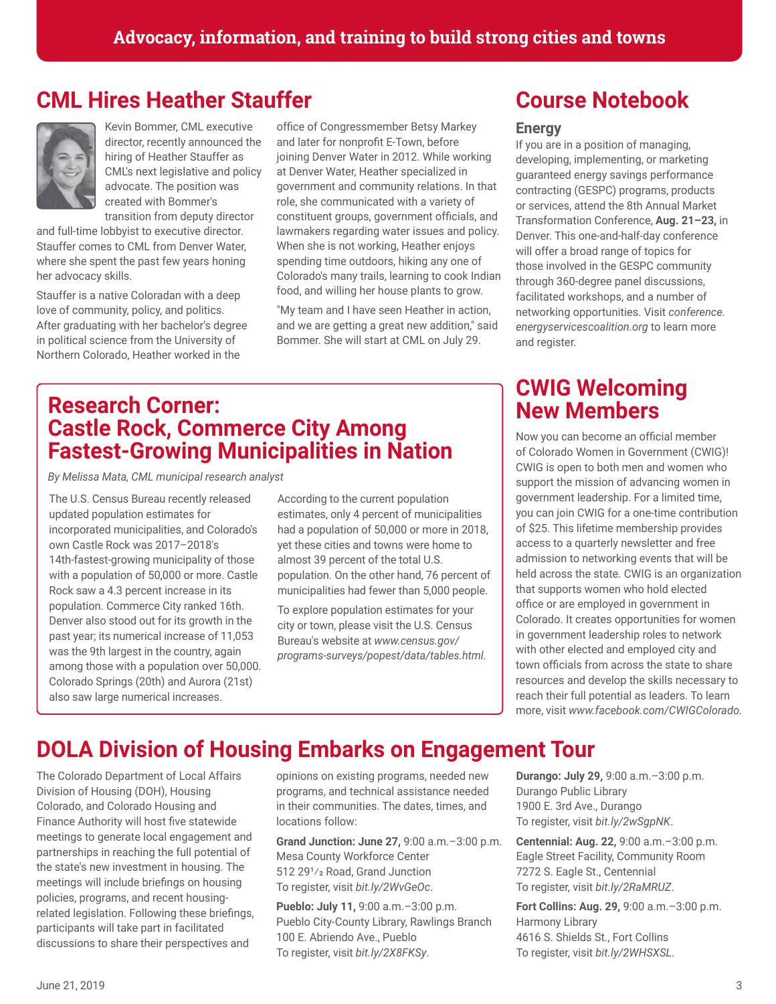### **CML Hires Heather Stauffer**



Kevin Bommer, CML executive director, recently announced the hiring of Heather Stauffer as CML's next legislative and policy advocate. The position was created with Bommer's

transition from deputy director and full-time lobbyist to executive director. Stauffer comes to CML from Denver Water, where she spent the past few years honing her advocacy skills.

Stauffer is a native Coloradan with a deep love of community, policy, and politics. After graduating with her bachelor's degree in political science from the University of Northern Colorado, Heather worked in the

office of Congressmember Betsy Markey and later for nonprofit E-Town, before joining Denver Water in 2012. While working at Denver Water, Heather specialized in government and community relations. In that role, she communicated with a variety of constituent groups, government officials, and lawmakers regarding water issues and policy. When she is not working, Heather enjoys spending time outdoors, hiking any one of Colorado's many trails, learning to cook Indian food, and willing her house plants to grow.

"My team and I have seen Heather in action, and we are getting a great new addition," said Bommer. She will start at CML on July 29.

#### **Research Corner: Castle Rock, Commerce City Among Fastest-Growing Municipalities in Nation**

*By Melissa Mata, CML municipal research analyst*

The U.S. Census Bureau recently released updated population estimates for incorporated municipalities, and Colorado's own Castle Rock was 2017–2018's 14th-fastest-growing municipality of those with a population of 50,000 or more. Castle Rock saw a 4.3 percent increase in its population. Commerce City ranked 16th. Denver also stood out for its growth in the past year; its numerical increase of 11,053 was the 9th largest in the country, again among those with a population over 50,000. Colorado Springs (20th) and Aurora (21st) also saw large numerical increases.

According to the current population estimates, only 4 percent of municipalities had a population of 50,000 or more in 2018, yet these cities and towns were home to almost 39 percent of the total U.S. population. On the other hand, 76 percent of municipalities had fewer than 5,000 people.

To explore population estimates for your city or town, please visit the U.S. Census Bureau's website at *www.census.gov/ programs-surveys/popest/data/tables.html.*

# **Course Notebook**

#### **Energy**

If you are in a position of managing, developing, implementing, or marketing guaranteed energy savings performance contracting (GESPC) programs, products or services, attend the 8th Annual Market Transformation Conference, **Aug. 21–23,** in Denver. This one-and-half-day conference will offer a broad range of topics for those involved in the GESPC community through 360-degree panel discussions, facilitated workshops, and a number of networking opportunities. Visit *conference. energyservicescoalition.org* to learn more and register.

#### **CWIG Welcoming New Members**

Now you can become an official member of Colorado Women in Government (CWIG)! CWIG is open to both men and women who support the mission of advancing women in government leadership. For a limited time, you can join CWIG for a one-time contribution of \$25. This lifetime membership provides access to a quarterly newsletter and free admission to networking events that will be held across the state. CWIG is an organization that supports women who hold elected office or are employed in government in Colorado. It creates opportunities for women in government leadership roles to network with other elected and employed city and town officials from across the state to share resources and develop the skills necessary to reach their full potential as leaders. To learn more, visit *www.facebook.com/CWIGColorado.*

## **DOLA Division of Housing Embarks on Engagement Tour**

The Colorado Department of Local Affairs Division of Housing (DOH), Housing Colorado, and Colorado Housing and Finance Authority will host five statewide meetings to generate local engagement and partnerships in reaching the full potential of the state's new investment in housing. The meetings will include briefings on housing policies, programs, and recent housingrelated legislation. Following these briefings, participants will take part in facilitated discussions to share their perspectives and

opinions on existing programs, needed new programs, and technical assistance needed in their communities. The dates, times, and locations follow:

**Grand Junction: June 27,** 9:00 a.m.–3:00 p.m. Mesa County Workforce Center 512 291/2 Road, Grand Junction To register, visit *bit.ly/2WvGeOc*.

**Pueblo: July 11,** 9:00 a.m.–3:00 p.m. Pueblo City-County Library, Rawlings Branch 100 E. Abriendo Ave., Pueblo To register, visit *bit.ly/2X8FKSy*.

**Durango: July 29,** 9:00 a.m.–3:00 p.m. Durango Public Library 1900 E. 3rd Ave., Durango To register, visit *bit.ly/2wSgpNK*.

**Centennial: Aug. 22,** 9:00 a.m.–3:00 p.m. Eagle Street Facility, Community Room 7272 S. Eagle St., Centennial To register, visit *bit.ly/2RaMRUZ*.

**Fort Collins: Aug. 29,** 9:00 a.m.–3:00 p.m. Harmony Library 4616 S. Shields St., Fort Collins To register, visit *bit.ly/2WHSXSL*.